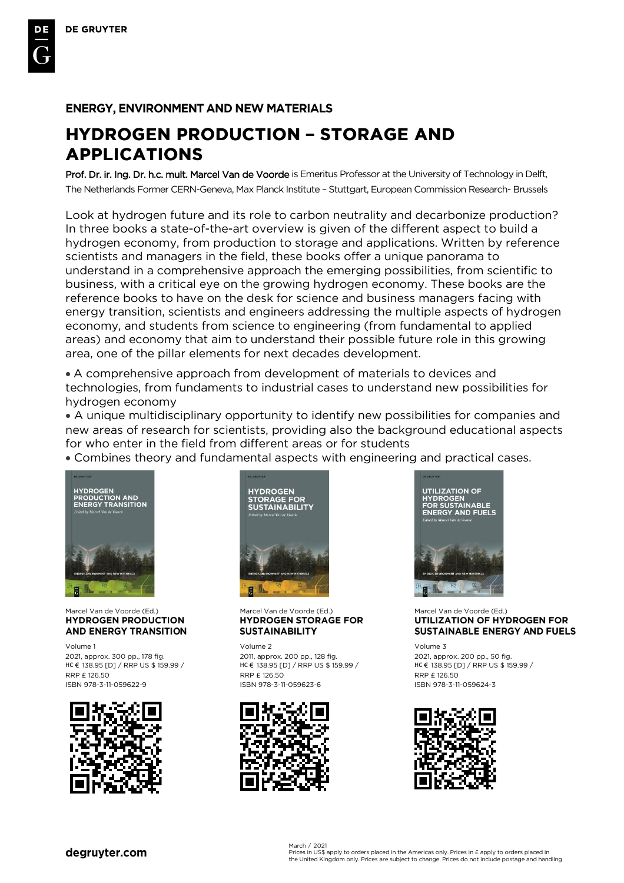# **ENERGY, ENVIRONMENT AND NEW MATERIALS**

# **HYDROGEN PRODUCTION - STORAGE AND APPLICATIONS**

Prof. Dr. ir. Ing. Dr. h.c. mult. Marcel Van de Voorde is Emeritus Professor at the University of Technology in Delft, The Netherlands Former CERN-Geneva, Max Planck Institute – Stuttgart, European Commission Research- Brussels

Look at hydrogen future and its role to carbon neutrality and decarbonize production? In three books a state-of-the-art overview is given of the different aspect to build a hydrogen economy, from production to storage and applications. Written by reference scientists and managers in the field, these books offer a unique panorama to understand in a comprehensive approach the emerging possibilities, from scientific to business, with a critical eye on the growing hydrogen economy. These books are the reference books to have on the desk for science and business managers facing with energy transition, scientists and engineers addressing the multiple aspects of hydrogen economy, and students from science to engineering (from fundamental to applied areas) and economy that aim to understand their possible future role in this growing area, one of the pillar elements for next decades development.

 A comprehensive approach from development of materials to devices and technologies, from fundaments to industrial cases to understand new possibilities for hydrogen economy

 A unique multidisciplinary opportunity to identify new possibilities for companies and new areas of research for scientists, providing also the background educational aspects for who enter in the field from different areas or for students

Combines theory and fundamental aspects with engineering and practical cases.



#### Marcel Van de Voorde (Ed.) **HYDROGEN PRODUCTION AND ENERGY TRANSITION**

Volume 1 2021, approx. 300 pp., 178 fig. HC € 138.95 [D] / RRP US \$ 159.99 / RRP £ 126.50 ISBN 978-3-11-059622-9





#### Marcel Van de Voorde (Ed.) **HYDROGEN STORAGE FOR SUSTAINABILITY**

Volume 2 2011, approx. 200 pp., 128 fig. HC € 138.95 [D] / RRP US \$ 159.99 / RRP £ 126.50 ISBN 978-3-11-059623-6





Marcel Van de Voorde (Ed.)<br>**UTILIZATION OF HYDROGEN FOR SUSTAINABLE ENERGY AND FUELS** 

Volume 3 2021, approx. 200 pp., 50 fig. HC € 138.95 [D] / RRP US \$ 159.99 / RRP £ 126.50 ISBN 978-3-11-059624-3